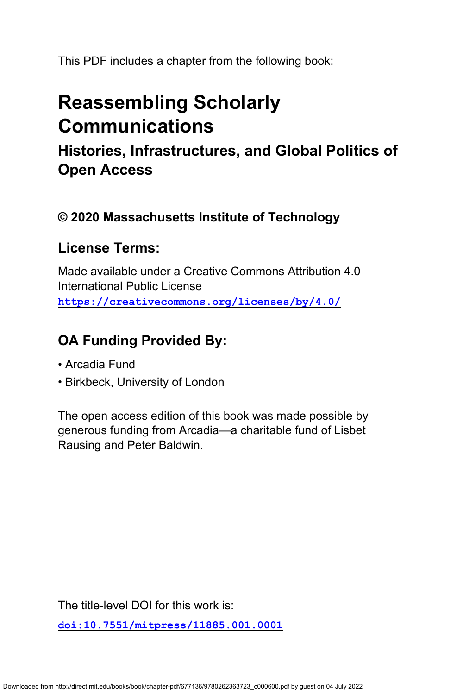This PDF includes a chapter from the following book:

# **Reassembling Scholarly Communications**

**Histories, Infrastructures, and Global Politics of Open Access**

## **© 2020 Massachusetts Institute of Technology**

## **License Terms:**

Made available under a Creative Commons Attribution 4.0 International Public License **<https://creativecommons.org/licenses/by/4.0/>**

## **OA Funding Provided By:**

- Arcadia Fund
- Birkbeck, University of London

The open access edition of this book was made possible by generous funding from Arcadia—a charitable fund of Lisbet Rausing and Peter Baldwin.

The title-level DOI for this work is:

**[doi:10.7551/mitpress/11885.001.0001](https://doi.org/10.7551/mitpress/11885.001.0001)**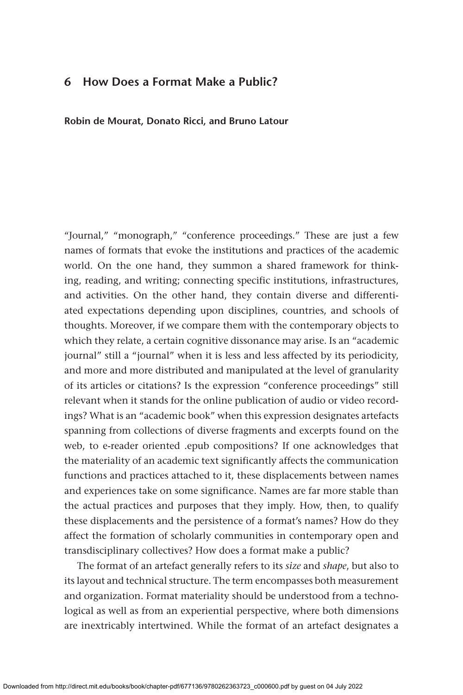## **6 How Does a Format Make a Public?**

### **Robin de Mourat, Donato Ricci, and Bruno Latour**

"Journal," "monograph," "conference proceedings." These are just a few names of formats that evoke the institutions and practices of the academic world. On the one hand, they summon a shared framework for thinking, reading, and writing; connecting specific institutions, infrastructures, and activities. On the other hand, they contain diverse and differentiated expectations depending upon disciplines, countries, and schools of thoughts. Moreover, if we compare them with the contemporary objects to which they relate, a certain cognitive dissonance may arise. Is an "academic journal" still a "journal" when it is less and less affected by its periodicity, and more and more distributed and manipulated at the level of granularity of its articles or citations? Is the expression "conference proceedings" still relevant when it stands for the online publication of audio or video recordings? What is an "academic book" when this expression designates artefacts spanning from collections of diverse fragments and excerpts found on the web, to e-reader oriented .epub compositions? If one acknowledges that the materiality of an academic text significantly affects the communication functions and practices attached to it, these displacements between names and experiences take on some significance. Names are far more stable than the actual practices and purposes that they imply. How, then, to qualify these displacements and the persistence of a format's names? How do they affect the formation of scholarly communities in contemporary open and transdisciplinary collectives? How does a format make a public?

The format of an artefact generally refers to its *size* and *shape*, but also to its layout and technical structure. The term encompasses both measurement and organization. Format materiality should be understood from a technological as well as from an experiential perspective, where both dimensions are inextricably intertwined. While the format of an artefact designates a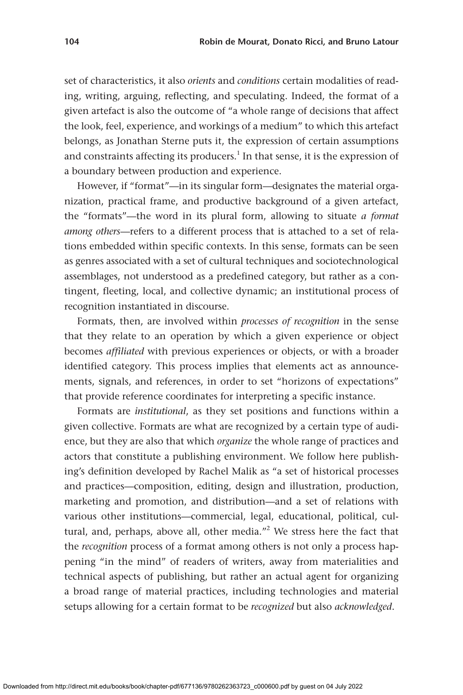set of characteristics, it also *orients* and *conditions* certain modalities of reading, writing, arguing, reflecting, and speculating. Indeed, the format of a given artefact is also the outcome of "a whole range of decisions that affect the look, feel, experience, and workings of a medium" to which this artefact belongs, as Jonathan Sterne puts it, the expression of certain assumptions and constraints affecting its producers.<sup>1</sup> In that sense, it is the expression of a boundary between production and experience.

However, if "format"—in its singular form—designates the material organization, practical frame, and productive background of a given artefact, the "formats"—the word in its plural form, allowing to situate *a format among others*—refers to a different process that is attached to a set of relations embedded within specific contexts. In this sense, formats can be seen as genres associated with a set of cultural techniques and sociotechnological assemblages, not understood as a predefined category, but rather as a contingent, fleeting, local, and collective dynamic; an institutional process of recognition instantiated in discourse.

Formats, then, are involved within *processes of recognition* in the sense that they relate to an operation by which a given experience or object becomes *affiliated* with previous experiences or objects, or with a broader identified category. This process implies that elements act as announcements, signals, and references, in order to set "horizons of expectations" that provide reference coordinates for interpreting a specific instance.

Formats are *institutional*, as they set positions and functions within a given collective. Formats are what are recognized by a certain type of audience, but they are also that which *organize* the whole range of practices and actors that constitute a publishing environment. We follow here publishing's definition developed by Rachel Malik as "a set of historical processes and practices—composition, editing, design and illustration, production, marketing and promotion, and distribution—and a set of relations with various other institutions—commercial, legal, educational, political, cultural, and, perhaps, above all, other media."<sup>2</sup> We stress here the fact that the *recognition* process of a format among others is not only a process happening "in the mind" of readers of writers, away from materialities and technical aspects of publishing, but rather an actual agent for organizing a broad range of material practices, including technologies and material setups allowing for a certain format to be *recognized* but also *acknowledged*.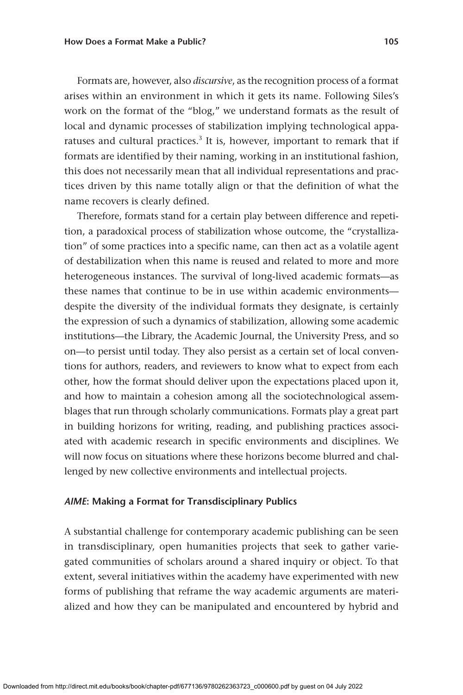Formats are, however, also *discursive*, as the recognition process of a format arises within an environment in which it gets its name. Following Siles's work on the format of the "blog," we understand formats as the result of local and dynamic processes of stabilization implying technological apparatuses and cultural practices.<sup>3</sup> It is, however, important to remark that if formats are identified by their naming, working in an institutional fashion, this does not necessarily mean that all individual representations and practices driven by this name totally align or that the definition of what the name recovers is clearly defined.

Therefore, formats stand for a certain play between difference and repetition, a paradoxical process of stabilization whose outcome, the "crystallization" of some practices into a specific name, can then act as a volatile agent of destabilization when this name is reused and related to more and more heterogeneous instances. The survival of long-lived academic formats—as these names that continue to be in use within academic environments despite the diversity of the individual formats they designate, is certainly the expression of such a dynamics of stabilization, allowing some academic institutions—the Library, the Academic Journal, the University Press, and so on—to persist until today. They also persist as a certain set of local conventions for authors, readers, and reviewers to know what to expect from each other, how the format should deliver upon the expectations placed upon it, and how to maintain a cohesion among all the sociotechnological assemblages that run through scholarly communications. Formats play a great part in building horizons for writing, reading, and publishing practices associated with academic research in specific environments and disciplines. We will now focus on situations where these horizons become blurred and challenged by new collective environments and intellectual projects.

### *AIME***: Making a Format for Transdisciplinary Publics**

A substantial challenge for contemporary academic publishing can be seen in transdisciplinary, open humanities projects that seek to gather variegated communities of scholars around a shared inquiry or object. To that extent, several initiatives within the academy have experimented with new forms of publishing that reframe the way academic arguments are materialized and how they can be manipulated and encountered by hybrid and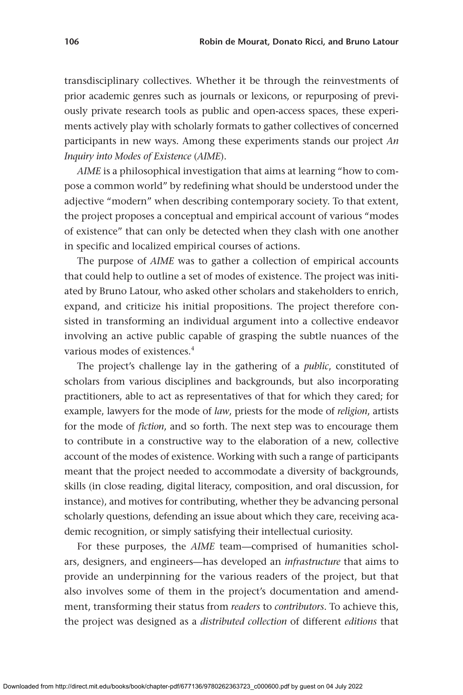transdisciplinary collectives. Whether it be through the reinvestments of prior academic genres such as journals or lexicons, or repurposing of previously private research tools as public and open-access spaces, these experiments actively play with scholarly formats to gather collectives of concerned participants in new ways. Among these experiments stands our project *An Inquiry into Modes of Existence* (*AIME*).

*AIME* is a philosophical investigation that aims at learning "how to compose a common world" by redefining what should be understood under the adjective "modern" when describing contemporary society. To that extent, the project proposes a conceptual and empirical account of various "modes of existence" that can only be detected when they clash with one another in specific and localized empirical courses of actions.

The purpose of *AIME* was to gather a collection of empirical accounts that could help to outline a set of modes of existence. The project was initiated by Bruno Latour, who asked other scholars and stakeholders to enrich, expand, and criticize his initial propositions. The project therefore consisted in transforming an individual argument into a collective endeavor involving an active public capable of grasping the subtle nuances of the various modes of existences.<sup>4</sup>

The project's challenge lay in the gathering of a *public*, constituted of scholars from various disciplines and backgrounds, but also incorporating practitioners, able to act as representatives of that for which they cared; for example, lawyers for the mode of *law*, priests for the mode of *religion*, artists for the mode of *fiction*, and so forth. The next step was to encourage them to contribute in a constructive way to the elaboration of a new, collective account of the modes of existence. Working with such a range of participants meant that the project needed to accommodate a diversity of backgrounds, skills (in close reading, digital literacy, composition, and oral discussion, for instance), and motives for contributing, whether they be advancing personal scholarly questions, defending an issue about which they care, receiving academic recognition, or simply satisfying their intellectual curiosity.

For these purposes, the *AIME* team—comprised of humanities scholars, designers, and engineers—has developed an *infrastructure* that aims to provide an underpinning for the various readers of the project, but that also involves some of them in the project's documentation and amendment, transforming their status from *readers* to *contributors*. To achieve this, the project was designed as a *distributed collection* of different *editions* that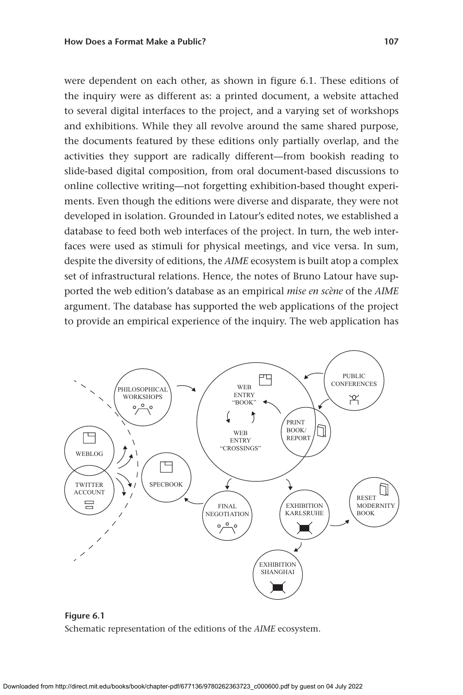were dependent on each other, as shown in figure 6.1. These editions of the inquiry were as different as: a printed document, a website attached to several digital interfaces to the project, and a varying set of workshops and exhibitions. While they all revolve around the same shared purpose, the documents featured by these editions only partially overlap, and the activities they support are radically different—from bookish reading to slide-based digital composition, from oral document-based discussions to online collective writing—not forgetting exhibition-based thought experiments. Even though the editions were diverse and disparate, they were not developed in isolation. Grounded in Latour's edited notes, we established a database to feed both web interfaces of the project. In turn, the web interfaces were used as stimuli for physical meetings, and vice versa. In sum, despite the diversity of editions, the *AIME* ecosystem is built atop a complex set of infrastructural relations. Hence, the notes of Bruno Latour have supported the web edition's database as an empirical *mise en scène* of the *AIME* argument. The database has supported the web applications of the project to provide an empirical experience of the inquiry. The web application has



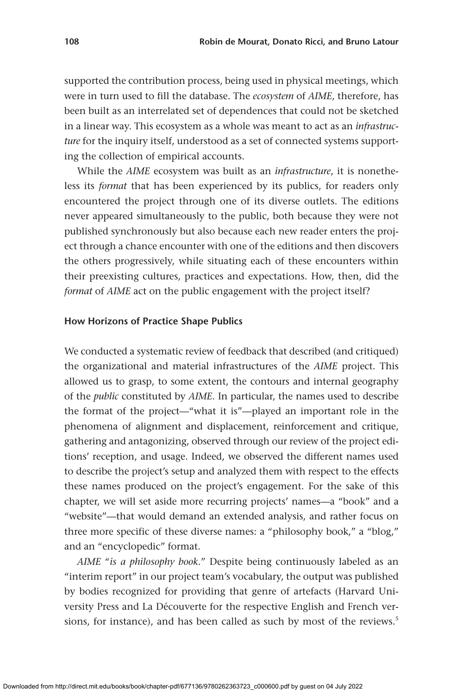supported the contribution process, being used in physical meetings, which were in turn used to fill the database. The *ecosystem* of *AIME*, therefore, has been built as an interrelated set of dependences that could not be sketched in a linear way. This ecosystem as a whole was meant to act as an *infrastructure* for the inquiry itself, understood as a set of connected systems supporting the collection of empirical accounts.

While the *AIME* ecosystem was built as an *infrastructure*, it is nonetheless its *format* that has been experienced by its publics, for readers only encountered the project through one of its diverse outlets. The editions never appeared simultaneously to the public, both because they were not published synchronously but also because each new reader enters the project through a chance encounter with one of the editions and then discovers the others progressively, while situating each of these encounters within their preexisting cultures, practices and expectations. How, then, did the *format* of *AIME* act on the public engagement with the project itself?

### **How Horizons of Practice Shape Publics**

We conducted a systematic review of feedback that described (and critiqued) the organizational and material infrastructures of the *AIME* project. This allowed us to grasp, to some extent, the contours and internal geography of the *public* constituted by *AIME*. In particular, the names used to describe the format of the project—"what it is"—played an important role in the phenomena of alignment and displacement, reinforcement and critique, gathering and antagonizing, observed through our review of the project editions' reception, and usage. Indeed, we observed the different names used to describe the project's setup and analyzed them with respect to the effects these names produced on the project's engagement. For the sake of this chapter, we will set aside more recurring projects' names—a "book" and a "website"—that would demand an extended analysis, and rather focus on three more specific of these diverse names: a "philosophy book," a "blog," and an "encyclopedic" format.

*AIME* "*is a philosophy book*." Despite being continuously labeled as an "interim report" in our project team's vocabulary, the output was published by bodies recognized for providing that genre of artefacts (Harvard University Press and La Découverte for the respective English and French versions, for instance), and has been called as such by most of the reviews.<sup>5</sup>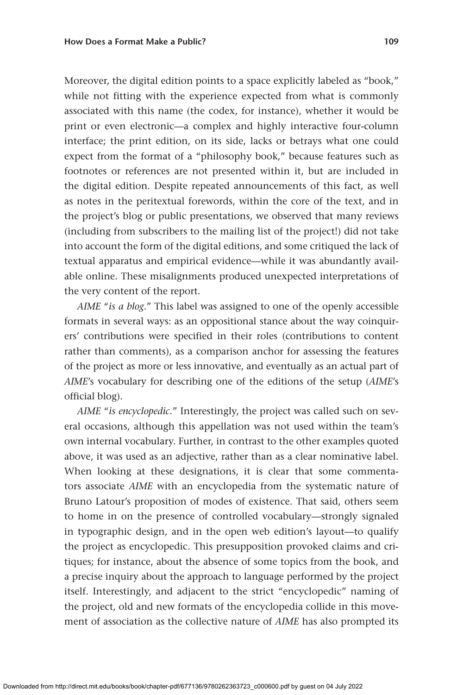Moreover, the digital edition points to a space explicitly labeled as "book," while not fitting with the experience expected from what is commonly associated with this name (the codex, for instance), whether it would be print or even electronic—a complex and highly interactive four-column interface; the print edition, on its side, lacks or betrays what one could expect from the format of a "philosophy book," because features such as footnotes or references are not presented within it, but are included in the digital edition. Despite repeated announcements of this fact, as well as notes in the peritextual forewords, within the core of the text, and in the project's blog or public presentations, we observed that many reviews (including from subscribers to the mailing list of the project!) did not take into account the form of the digital editions, and some critiqued the lack of textual apparatus and empirical evidence—while it was abundantly available online. These misalignments produced unexpected interpretations of the very content of the report.

*AIME* "*is a blog*." This label was assigned to one of the openly accessible formats in several ways: as an oppositional stance about the way coinquirers' contributions were specified in their roles (contributions to content rather than comments), as a comparison anchor for assessing the features of the project as more or less innovative, and eventually as an actual part of *AIME*'s vocabulary for describing one of the editions of the setup (*AIME*'s official blog).

*AIME* "*is encyclopedic*." Interestingly, the project was called such on several occasions, although this appellation was not used within the team's own internal vocabulary. Further, in contrast to the other examples quoted above, it was used as an adjective, rather than as a clear nominative label. When looking at these designations, it is clear that some commentators associate *AIME* with an encyclopedia from the systematic nature of Bruno Latour's proposition of modes of existence. That said, others seem to home in on the presence of controlled vocabulary—strongly signaled in typographic design, and in the open web edition's layout—to qualify the project as encyclopedic. This presupposition provoked claims and critiques; for instance, about the absence of some topics from the book, and a precise inquiry about the approach to language performed by the project itself. Interestingly, and adjacent to the strict "encyclopedic" naming of the project, old and new formats of the encyclopedia collide in this movement of association as the collective nature of *AIME* has also prompted its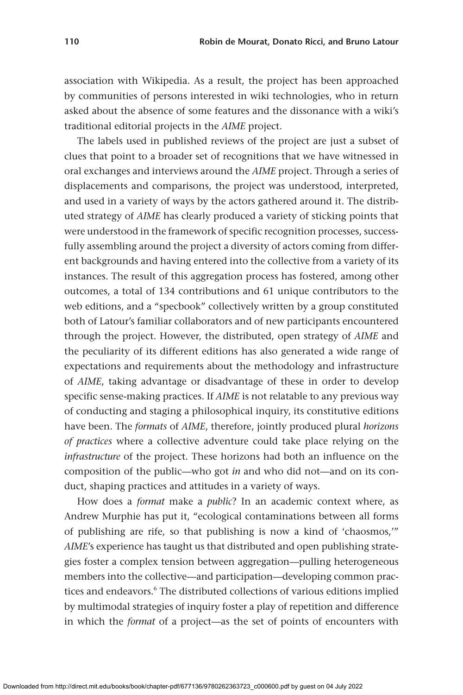association with Wikipedia. As a result, the project has been approached by communities of persons interested in wiki technologies, who in return asked about the absence of some features and the dissonance with a wiki's traditional editorial projects in the *AIME* project.

The labels used in published reviews of the project are just a subset of clues that point to a broader set of recognitions that we have witnessed in oral exchanges and interviews around the *AIME* project. Through a series of displacements and comparisons, the project was understood, interpreted, and used in a variety of ways by the actors gathered around it. The distributed strategy of *AIME* has clearly produced a variety of sticking points that were understood in the framework of specific recognition processes, successfully assembling around the project a diversity of actors coming from different backgrounds and having entered into the collective from a variety of its instances. The result of this aggregation process has fostered, among other outcomes, a total of 134 contributions and 61 unique contributors to the web editions, and a "specbook" collectively written by a group constituted both of Latour's familiar collaborators and of new participants encountered through the project. However, the distributed, open strategy of *AIME* and the peculiarity of its different editions has also generated a wide range of expectations and requirements about the methodology and infrastructure of *AIME*, taking advantage or disadvantage of these in order to develop specific sense-making practices. If *AIME* is not relatable to any previous way of conducting and staging a philosophical inquiry, its constitutive editions have been. The *formats* of *AIME*, therefore, jointly produced plural *horizons of practices* where a collective adventure could take place relying on the *infrastructure* of the project. These horizons had both an influence on the composition of the public—who got *in* and who did not—and on its conduct, shaping practices and attitudes in a variety of ways.

How does a *format* make a *public*? In an academic context where, as Andrew Murphie has put it, "ecological contaminations between all forms of publishing are rife, so that publishing is now a kind of 'chaosmos,'" *AIME*'s experience has taught us that distributed and open publishing strategies foster a complex tension between aggregation—pulling heterogeneous members into the collective—and participation—developing common practices and endeavors.<sup>6</sup> The distributed collections of various editions implied by multimodal strategies of inquiry foster a play of repetition and difference in which the *format* of a project—as the set of points of encounters with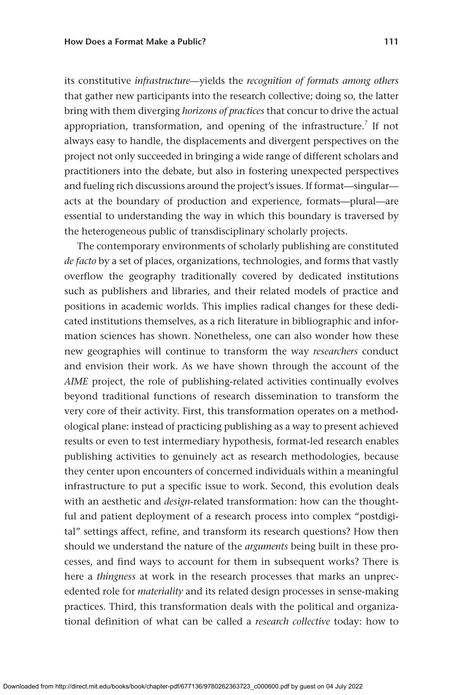its constitutive *infrastructure*—yields the *recognition of formats among others* that gather new participants into the research collective; doing so, the latter bring with them diverging *horizons of practices* that concur to drive the actual appropriation, transformation, and opening of the infrastructure.<sup>7</sup> If not always easy to handle, the displacements and divergent perspectives on the project not only succeeded in bringing a wide range of different scholars and practitioners into the debate, but also in fostering unexpected perspectives and fueling rich discussions around the project's issues. If format—singular acts at the boundary of production and experience, formats—plural—are essential to understanding the way in which this boundary is traversed by the heterogeneous public of transdisciplinary scholarly projects.

The contemporary environments of scholarly publishing are constituted *de facto* by a set of places, organizations, technologies, and forms that vastly overflow the geography traditionally covered by dedicated institutions such as publishers and libraries, and their related models of practice and positions in academic worlds. This implies radical changes for these dedicated institutions themselves, as a rich literature in bibliographic and information sciences has shown. Nonetheless, one can also wonder how these new geographies will continue to transform the way *researchers* conduct and envision their work. As we have shown through the account of the *AIME* project, the role of publishing-related activities continually evolves beyond traditional functions of research dissemination to transform the very core of their activity. First, this transformation operates on a methodological plane: instead of practicing publishing as a way to present achieved results or even to test intermediary hypothesis, format-led research enables publishing activities to genuinely act as research methodologies, because they center upon encounters of concerned individuals within a meaningful infrastructure to put a specific issue to work. Second, this evolution deals with an aesthetic and *design*-related transformation: how can the thoughtful and patient deployment of a research process into complex "postdigital" settings affect, refine, and transform its research questions? How then should we understand the nature of the *arguments* being built in these processes, and find ways to account for them in subsequent works? There is here a *thingness* at work in the research processes that marks an unprecedented role for *materiality* and its related design processes in sense-making practices. Third, this transformation deals with the political and organizational definition of what can be called a *research collective* today: how to